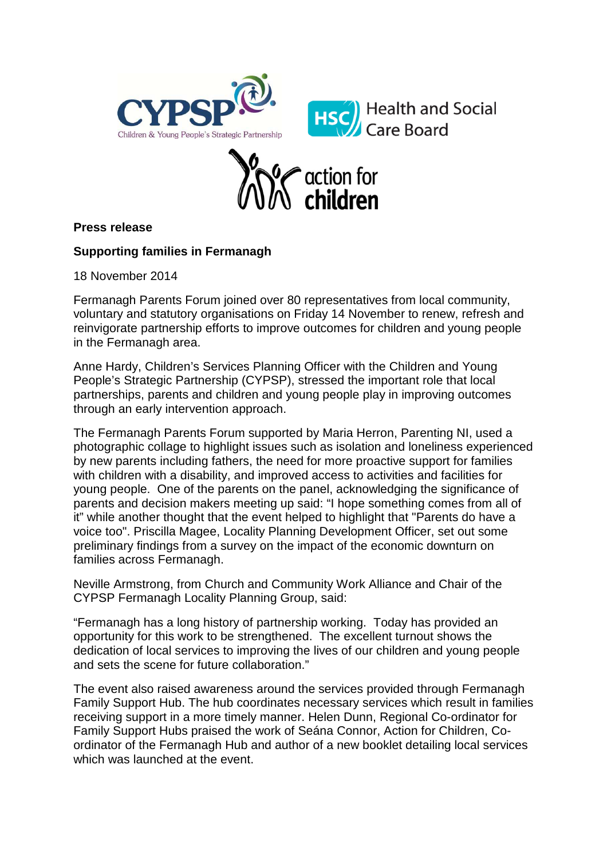



## **Press release**

## **Supporting families in Fermanagh**

18 November 2014

Fermanagh Parents Forum joined over 80 representatives from local community, voluntary and statutory organisations on Friday 14 November to renew, refresh and reinvigorate partnership efforts to improve outcomes for children and young people in the Fermanagh area.

Anne Hardy, Children's Services Planning Officer with the Children and Young People's Strategic Partnership (CYPSP), stressed the important role that local partnerships, parents and children and young people play in improving outcomes through an early intervention approach.

The Fermanagh Parents Forum supported by Maria Herron, Parenting NI, used a photographic collage to highlight issues such as isolation and loneliness experienced by new parents including fathers, the need for more proactive support for families with children with a disability, and improved access to activities and facilities for young people. One of the parents on the panel, acknowledging the significance of parents and decision makers meeting up said: "I hope something comes from all of it" while another thought that the event helped to highlight that "Parents do have a voice too". Priscilla Magee, Locality Planning Development Officer, set out some preliminary findings from a survey on the impact of the economic downturn on families across Fermanagh.

Neville Armstrong, from Church and Community Work Alliance and Chair of the CYPSP Fermanagh Locality Planning Group, said:

"Fermanagh has a long history of partnership working. Today has provided an opportunity for this work to be strengthened. The excellent turnout shows the dedication of local services to improving the lives of our children and young people and sets the scene for future collaboration."

The event also raised awareness around the services provided through Fermanagh Family Support Hub. The hub coordinates necessary services which result in families receiving support in a more timely manner. Helen Dunn, Regional Co-ordinator for Family Support Hubs praised the work of Seána Connor, Action for Children, Coordinator of the Fermanagh Hub and author of a new booklet detailing local services which was launched at the event.